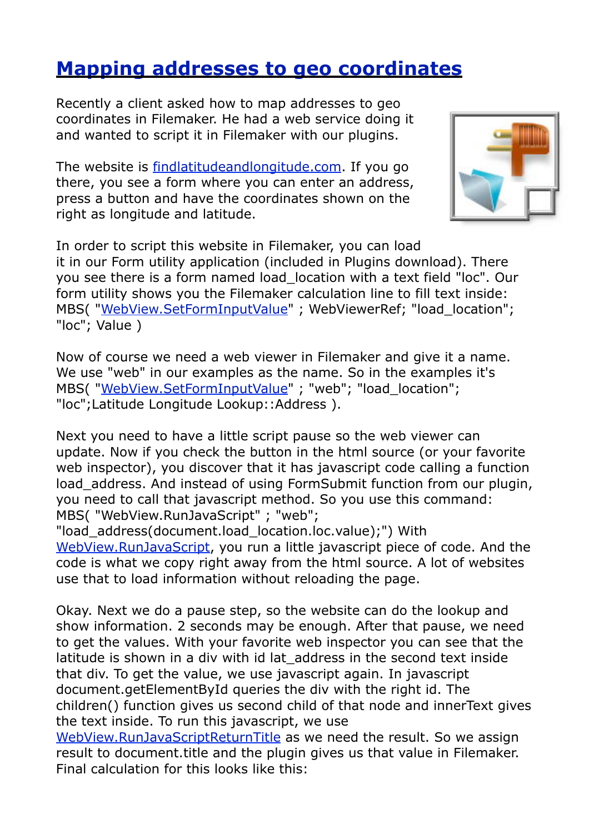## **[Mapping addresses to geo coordinates](http://www.mbsplugins.de/archive/2011-12-15/Mapping_addresses_to_geo_coord/monkeybreadsoftware_blog_filemaker)**

Recently a client asked how to map addresses to geo coordinates in Filemaker. He had a web service doing it and wanted to script it in Filemaker with our plugins.

The website is [findlatitudeandlongitude.com.](http://www.findlatitudeandlongitude.com/find-latitude-and-longitude-from-address.php) If you go there, you see a form where you can enter an address, press a button and have the coordinates shown on the right as longitude and latitude.



In order to script this website in Filemaker, you can load it in our Form utility application (included in Plugins download). There you see there is a form named load\_location with a text field "loc". Our form utility shows you the Filemaker calculation line to fill text inside: MBS( "[WebView.SetFormInputValue"](http://www.monkeybreadsoftware.de/filemaker/reference/WebViewSetFormInputValue.shtml) ; WebViewerRef; "load\_location"; "loc"; Value )

Now of course we need a web viewer in Filemaker and give it a name. We use "web" in our examples as the name. So in the examples it's MBS( "[WebView.SetFormInputValue"](http://www.monkeybreadsoftware.de/filemaker/reference/WebViewSetFormInputValue.shtml) ; "web"; "load\_location"; "loc";Latitude Longitude Lookup::Address ).

Next you need to have a little script pause so the web viewer can update. Now if you check the button in the html source (or your favorite web inspector), you discover that it has javascript code calling a function load address. And instead of using FormSubmit function from our plugin, you need to call that javascript method. So you use this command: MBS( "WebView.RunJavaScript" ; "web";

"load\_address(document.load\_location.loc.value);") With [WebView.RunJavaScript](http://www.monkeybreadsoftware.de/filemaker/reference/WebViewRunJavaScript.shtml), you run a little javascript piece of code. And the code is what we copy right away from the html source. A lot of websites use that to load information without reloading the page.

Okay. Next we do a pause step, so the website can do the lookup and show information. 2 seconds may be enough. After that pause, we need to get the values. With your favorite web inspector you can see that the latitude is shown in a div with id lat address in the second text inside that div. To get the value, we use javascript again. In javascript document.getElementById queries the div with the right id. The children() function gives us second child of that node and innerText gives the text inside. To run this javascript, we use [WebView.RunJavaScriptReturnTitle](http://www.monkeybreadsoftware.de/filemaker/reference/WebViewRunJavaScriptReturnTitle.shtml) as we need the result. So we assign result to document.title and the plugin gives us that value in Filemaker.

Final calculation for this looks like this: